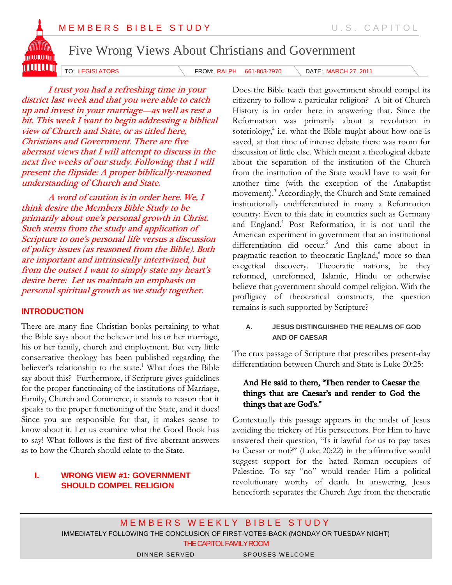# MEMBERS BIBLE STUDY U.S. CAPITOL



Five Wrong Views About Christians and Government

TO: LEGISLATORS **FROM: RALPH 661-803-7970** DATE: MARCH 27, 2011

I trust you had a refreshing time in your district last week and that you were able to catch up and invest in your marriage—as well as rest a bit. This week I want to begin addressing a biblical view of Church and State, or as titled here, Christians and Government. There are five aberrant views that I will attempt to discuss in the next five weeks of our study. Following that I will present the flipside: A proper biblically-reasoned understanding of Church and State.

A word of caution is in order here. We, I think desire the Members Bible Study to be primarily about one's personal growth in Christ. Such stems from the study and application of Scripture to one's personal life versus a discussion of policy issues (as reasoned from the Bible). Both are important and intrinsically intertwined, but from the outset I want to simply state my heart's desire here: Let us maintain an emphasis on personal spiritual growth as we study together.

# **INTRODUCTION**

There are many fine Christian books pertaining to what the Bible says about the believer and his or her marriage, his or her family, church and employment. But very little conservative theology has been published regarding the believer's relationship to the state.<sup>1</sup> What does the Bible say about this? Furthermore, if Scripture gives guidelines for the proper functioning of the institutions of Marriage, Family, Church and Commerce, it stands to reason that it speaks to the proper functioning of the State, and it does! Since you are responsible for that, it makes sense to know about it. Let us examine what the Good Book has to say! What follows is the first of five aberrant answers as to how the Church should relate to the State.

# **I. WRONG VIEW #1: GOVERNMENT SHOULD COMPEL RELIGION**

Does the Bible teach that government should compel its citizenry to follow a particular religion? A bit of Church History is in order here in answering that. Since the Reformation was primarily about a revolution in soteriology,<sup>2</sup> i.e. what the Bible taught about how one is saved, at that time of intense debate there was room for discussion of little else. Which meant a theological debate about the separation of the institution of the Church from the institution of the State would have to wait for another time (with the exception of the Anabaptist movement). <sup>3</sup> Accordingly, the Church and State remained institutionally undifferentiated in many a Reformation country: Even to this date in countries such as Germany and England.<sup>4</sup> Post Reformation, it is not until the American experiment in government that an institutional differentiation did occur. <sup>5</sup> And this came about in pragmatic reaction to theocratic England, <sup>6</sup> more so than exegetical discovery. Theocratic nations, be they reformed, unreformed, Islamic, Hindu or otherwise believe that government should compel religion. With the profligacy of theocratical constructs, the question remains is such supported by Scripture?

## **A. JESUS DISTINGUISHED THE REALMS OF GOD AND OF CAESAR**

The crux passage of Scripture that prescribes present-day differentiation between Church and State is Luke 20:25:

## And He said to them, "Then render to Caesar the things that are Caesar's and render to God the things that are God's."

Contextually this passage appears in the midst of Jesus avoiding the trickery of His persecutors. For Him to have answered their question, "Is it lawful for us to pay taxes to Caesar or not?" (Luke 20:22) in the affirmative would suggest support for the hated Roman occupiers of Palestine. To say "no" would render Him a political revolutionary worthy of death. In answering, Jesus henceforth separates the Church Age from the theocratic

MEMBERS WEEKLY BIBLE STUDY IMMEDIATELY FOLLOWING THE CONCLUSION OF FIRST-VOTES-BACK (MONDAY OR TUESDAY NIGHT) THE CAPITOL FAMILY ROOM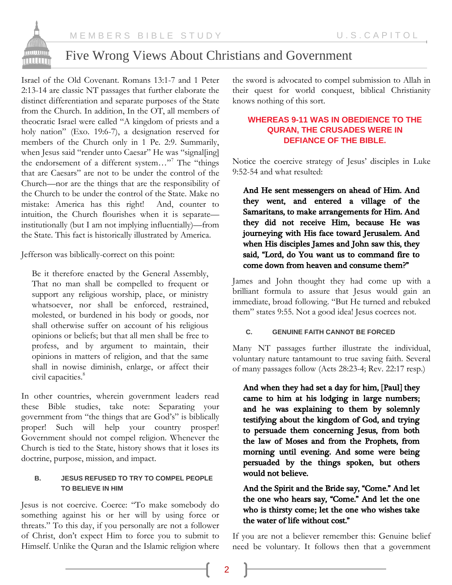

# Five Wrong Views About Christians and Government

Israel of the Old Covenant. Romans 13:1-7 and 1 Peter 2:13-14 are classic NT passages that further elaborate the distinct differentiation and separate purposes of the State from the Church. In addition, In the OT, all members of theocratic Israel were called "A kingdom of priests and a holy nation" (Exo. 19:6-7), a designation reserved for members of the Church only in 1 Pe. 2:9. Summarily, when Jesus said "render unto Caesar" He was "signal[ing] the endorsement of a different system..."<sup>7</sup> The "things" that are Caesars" are not to be under the control of the Church—nor are the things that are the responsibility of the Church to be under the control of the State. Make no mistake: America has this right! And, counter to intuition, the Church flourishes when it is separate institutionally (but I am not implying influentially)—from the State. This fact is historically illustrated by America.

Jefferson was biblically-correct on this point:

Be it therefore enacted by the General Assembly, That no man shall be compelled to frequent or support any religious worship, place, or ministry whatsoever, nor shall be enforced, restrained, molested, or burdened in his body or goods, nor shall otherwise suffer on account of his religious opinions or beliefs; but that all men shall be free to profess, and by argument to maintain, their opinions in matters of religion, and that the same shall in nowise diminish, enlarge, or affect their civil capacities. 8

In other countries, wherein government leaders read these Bible studies, take note: Separating your government from "the things that are God's" is biblically proper! Such will help your country prosper! Government should not compel religion. Whenever the Church is tied to the State, history shows that it loses its doctrine, purpose, mission, and impact.

## **B. JESUS REFUSED TO TRY TO COMPEL PEOPLE TO BELIEVE IN HIM**

Jesus is not coercive. Coerce: "To make somebody do something against his or her will by using force or threats." To this day, if you personally are not a follower of Christ, don't expect Him to force you to submit to Himself. Unlike the Quran and the Islamic religion where

the sword is advocated to compel submission to Allah in their quest for world conquest, biblical Christianity knows nothing of this sort.

## **WHEREAS 9-11 WAS IN OBEDIENCE TO THE QURAN, THE CRUSADES WERE IN DEFIANCE OF THE BIBLE.**

Notice the coercive strategy of Jesus' disciples in Luke 9:52-54 and what resulted:

And He sent messengers on ahead of Him. And they went, and entered a village of the Samaritans, to make arrangements for Him. And they did not receive Him, because He was journeying with His face toward Jerusalem. And when His disciples James and John saw this, they said, "Lord, do You want us to command fire to come down from heaven and consume them?"

James and John thought they had come up with a brilliant formula to assure that Jesus would gain an immediate, broad following. "But He turned and rebuked them" states 9:55. Not a good idea! Jesus coerces not.

#### **C. GENUINE FAITH CANNOT BE FORCED**

Many NT passages further illustrate the individual, voluntary nature tantamount to true saving faith. Several of many passages follow (Acts 28:23-4; Rev. 22:17 resp.)

And when they had set a day for him, [Paul] they came to him at his lodging in large numbers; and he was explaining to them by solemnly testifying about the kingdom of God, and trying to persuade them concerning Jesus, from both the law of Moses and from the Prophets, from morning until evening. And some were being persuaded by the things spoken, but others would not believe.

# And the Spirit and the Bride say, "Come." And let the one who hears say, "Come." And let the one who is thirsty come; let the one who wishes take the water of life without cost."

If you are not a believer remember this: Genuine belief need be voluntary. It follows then that a government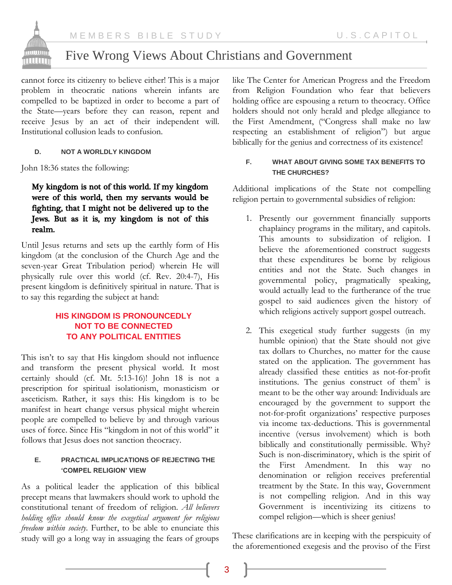

# Five Wrong Views About Christians and Government

cannot force its citizenry to believe either! This is a major problem in theocratic nations wherein infants are compelled to be baptized in order to become a part of the State—years before they can reason, repent and receive Jesus by an act of their independent will. Institutional collusion leads to confusion.

#### **D. NOT A WORLDLY KINGDOM**

John 18:36 states the following:

## My kingdom is not of this world. If my kingdom were of this world, then my servants would be fighting, that I might not be delivered up to the Jews. But as it is, my kingdom is not of this realm.

Until Jesus returns and sets up the earthly form of His kingdom (at the conclusion of the Church Age and the seven-year Great Tribulation period) wherein He will physically rule over this world (cf. Rev. 20:4-7), His present kingdom is definitively spiritual in nature. That is to say this regarding the subject at hand:

# **HIS KINGDOM IS PRONOUNCEDLY NOT TO BE CONNECTED TO ANY POLITICAL ENTITIES**

This isn't to say that His kingdom should not influence and transform the present physical world. It most certainly should (cf. Mt. 5:13-16)! John 18 is not a prescription for spiritual isolationism, monasticism or asceticism. Rather, it says this: His kingdom is to be manifest in heart change versus physical might wherein people are compelled to believe by and through various uses of force. Since His "kingdom in not of this world" it follows that Jesus does not sanction theocracy.

#### **E. PRACTICAL IMPLICATIONS OF REJECTING THE 'COMPEL RELIGION' VIEW**

As a political leader the application of this biblical precept means that lawmakers should work to uphold the constitutional tenant of freedom of religion. *All believers holding office should know the exegetical argument for religious freedom within society*. Further, to be able to enunciate this study will go a long way in assuaging the fears of groups

like The Center for American Progress and the Freedom from Religion Foundation who fear that believers holding office are espousing a return to theocracy. Office holders should not only herald and pledge allegiance to the First Amendment, ("Congress shall make no law respecting an establishment of religion") but argue biblically for the genius and correctness of its existence!

## **F. WHAT ABOUT GIVING SOME TAX BENEFITS TO THE CHURCHES?**

Additional implications of the State not compelling religion pertain to governmental subsidies of religion:

- 1. Presently our government financially supports chaplaincy programs in the military, and capitols. This amounts to subsidization of religion. I believe the aforementioned construct suggests that these expenditures be borne by religious entities and not the State. Such changes in governmental policy, pragmatically speaking, would actually lead to the furtherance of the true gospel to said audiences given the history of which religions actively support gospel outreach.
- 2. This exegetical study further suggests (in my humble opinion) that the State should not give tax dollars to Churches, no matter for the cause stated on the application. The government has already classified these entities as not-for-profit institutions. The genius construct of them $\degree$  is meant to be the other way around: Individuals are encouraged by the government to support the not-for-profit organizations' respective purposes via income tax-deductions. This is governmental incentive (versus involvement) which is both biblically and constitutionally permissible. Why? Such is non-discriminatory, which is the spirit of the First Amendment. In this way no denomination or religion receives preferential treatment by the State. In this way, Government is not compelling religion. And in this way Government is incentivizing its citizens to compel religion—which is sheer genius!

These clarifications are in keeping with the perspicuity of the aforementioned exegesis and the proviso of the First